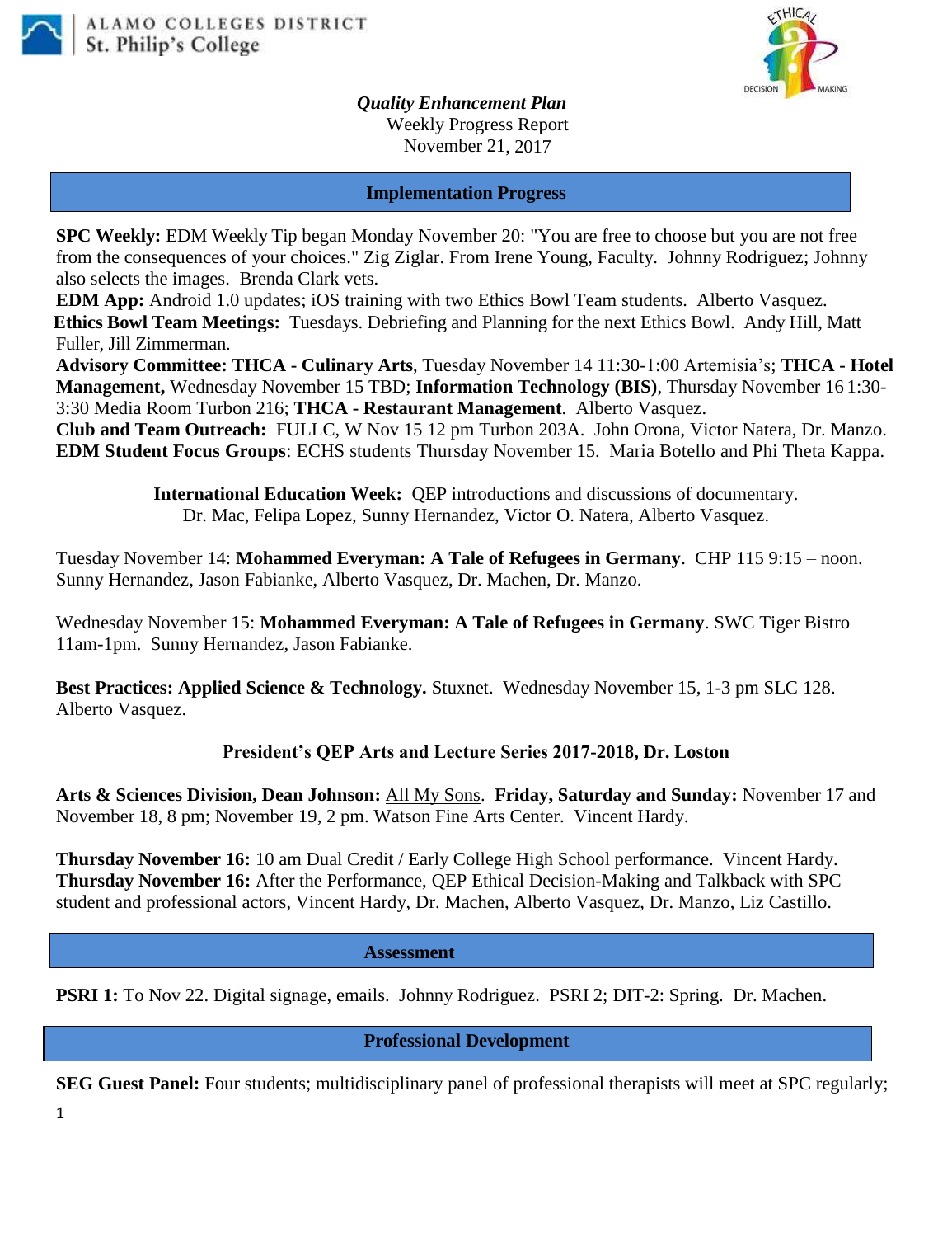



*Quality Enhancement Plan* Weekly Progress Report November 21, 2017

## **Implementation Progress**

**SPC Weekly:** EDM Weekly Tip began Monday November 20: "You are free to choose but you are not free from the consequences of your choices." Zig Ziglar. From Irene Young, Faculty. Johnny Rodriguez; Johnny also selects the images. Brenda Clark vets.

**EDM App:** Android 1.0 updates; iOS training with two Ethics Bowl Team students. Alberto Vasquez. **Ethics Bowl Team Meetings:** Tuesdays. Debriefing and Planning for the next Ethics Bowl.Andy Hill, Matt Fuller, Jill Zimmerman.

**Advisory Committee: THCA - Culinary Arts**, Tuesday November 14 11:30-1:00 Artemisia's; **THCA - Hotel Management,** Wednesday November 15 TBD; **Information Technology (BIS)**, Thursday November 16 1:30- 3:30 Media Room Turbon 216; **THCA - Restaurant Management**. Alberto Vasquez.

**Club and Team Outreach:** FULLC, W Nov 15 12 pm Turbon 203A. John Orona, Victor Natera, Dr. Manzo. **EDM Student Focus Groups**: ECHS students Thursday November 15. Maria Botello and Phi Theta Kappa.

> **International Education Week:** QEP introductions and discussions of documentary. Dr. Mac, Felipa Lopez, Sunny Hernandez, Victor O. Natera, Alberto Vasquez.

Tuesday November 14: **Mohammed Everyman: A Tale of Refugees in Germany**. CHP 115 9:15 – noon. Sunny Hernandez, Jason Fabianke, Alberto Vasquez, Dr. Machen, Dr. Manzo.

Wednesday November 15: **Mohammed Everyman: A Tale of Refugees in Germany**. SWC Tiger Bistro 11am-1pm. Sunny Hernandez, Jason Fabianke.

**Best Practices: Applied Science & Technology.** Stuxnet. Wednesday November 15, 1-3 pm SLC 128. Alberto Vasquez.

## **President's QEP Arts and Lecture Series 2017-2018, Dr. Loston**

**Arts & Sciences Division, Dean Johnson:** All My Sons. **Friday, Saturday and Sunday:** November 17 and November 18, 8 pm; November 19, 2 pm. Watson Fine Arts Center. Vincent Hardy.

**Thursday November 16:** 10 am Dual Credit / Early College High School performance. Vincent Hardy. **Thursday November 16:** After the Performance, QEP Ethical Decision-Making and Talkback with SPC student and professional actors, Vincent Hardy, Dr. Machen, Alberto Vasquez, Dr. Manzo, Liz Castillo.

## **Assessment**

**PSRI 1:** To Nov 22. Digital signage, emails. Johnny Rodriguez. PSRI 2; DIT-2: Spring. Dr. Machen.

 **Professional Development**

**SEG Guest Panel:** Four students; multidisciplinary panel of professional therapists will meet at SPC regularly;